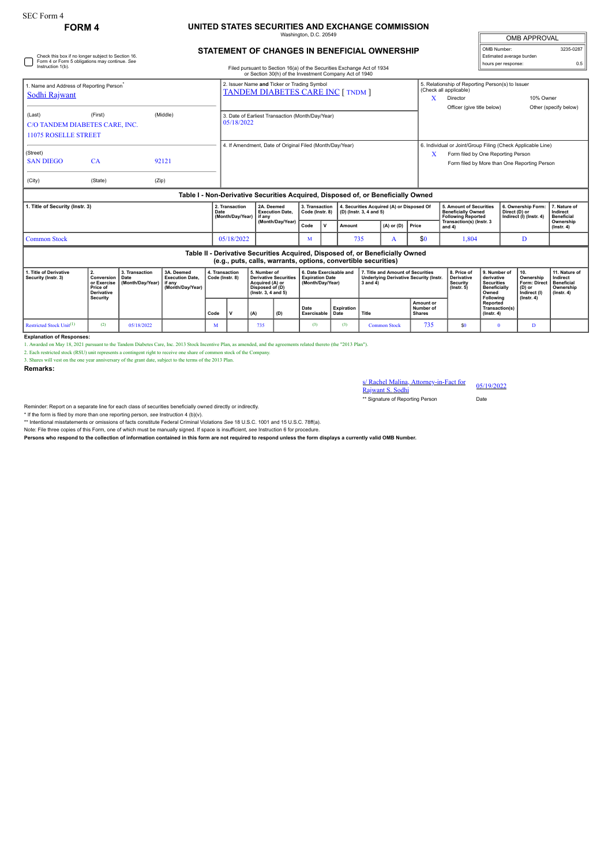Check this box if no longer subject to Section 16. Form 4 or Form 5 obligations may continue. *See*

## **FORM 4 UNITED STATES SECURITIES AND EXCHANGE COMMISSION** naton, D.C. 20

| <b>OMB APPROVAL</b>      |           |
|--------------------------|-----------|
| OMB Number:              | 3235-0287 |
| Estimated average burden |           |
| hours per response:      | 0.5       |

## **STATEMENT OF CHANGES IN BENEFICIAL OWNERSHIP**

| Instruction 1(b).                                                                                                                                                                            |                                                       |                                                          |                                                                                  |      |                                                                                                           |     | Filed pursuant to Section 16(a) of the Securities Exchange Act of 1934<br>or Section 30(h) of the Investment Company Act of 1940 |                     |                                                                                                     |                          |                                                      |                                                                  |                                                                                                                                                   |                                                                                                     |                                                                                 | noare per reepense.                                                             |                               |                       |
|----------------------------------------------------------------------------------------------------------------------------------------------------------------------------------------------|-------------------------------------------------------|----------------------------------------------------------|----------------------------------------------------------------------------------|------|-----------------------------------------------------------------------------------------------------------|-----|----------------------------------------------------------------------------------------------------------------------------------|---------------------|-----------------------------------------------------------------------------------------------------|--------------------------|------------------------------------------------------|------------------------------------------------------------------|---------------------------------------------------------------------------------------------------------------------------------------------------|-----------------------------------------------------------------------------------------------------|---------------------------------------------------------------------------------|---------------------------------------------------------------------------------|-------------------------------|-----------------------|
| 1. Name and Address of Reporting Person<br>Sodhi Rajwant                                                                                                                                     |                                                       |                                                          |                                                                                  |      | 2. Issuer Name and Ticker or Trading Symbol<br><b>TANDEM DIABETES CARE INC [ TNDM ]</b>                   |     |                                                                                                                                  |                     |                                                                                                     |                          |                                                      |                                                                  | X                                                                                                                                                 | 5. Relationship of Reporting Person(s) to Issuer<br>(Check all applicable)<br>10% Owner<br>Director |                                                                                 |                                                                                 |                               |                       |
| (Last)<br><b>11075 ROSELLE STREET</b>                                                                                                                                                        | (First)<br>(Middle)<br>C/O TANDEM DIABETES CARE. INC. |                                                          |                                                                                  |      | 3. Date of Earliest Transaction (Month/Day/Year)<br>05/18/2022                                            |     |                                                                                                                                  |                     |                                                                                                     |                          |                                                      |                                                                  |                                                                                                                                                   | Officer (give title below)                                                                          |                                                                                 |                                                                                 |                               | Other (specify below) |
| (Street)<br><b>SAN DIEGO</b><br>(City)                                                                                                                                                       | CA<br>(State)                                         | (Zip)                                                    | 92121                                                                            |      | 4. If Amendment, Date of Original Filed (Month/Day/Year)                                                  |     |                                                                                                                                  |                     |                                                                                                     |                          |                                                      | X                                                                | 6. Individual or Joint/Group Filing (Check Applicable Line)<br>Form filed by One Reporting Person<br>Form filed by More than One Reporting Person |                                                                                                     |                                                                                 |                                                                                 |                               |                       |
|                                                                                                                                                                                              |                                                       |                                                          | Table I - Non-Derivative Securities Acquired, Disposed of, or Beneficially Owned |      |                                                                                                           |     |                                                                                                                                  |                     |                                                                                                     |                          |                                                      |                                                                  |                                                                                                                                                   |                                                                                                     |                                                                                 |                                                                                 |                               |                       |
| 1. Title of Security (Instr. 3)                                                                                                                                                              |                                                       |                                                          |                                                                                  | Date | 2A. Deemed<br>2. Transaction<br><b>Execution Date.</b><br>(Month/Day/Year)<br>if any<br>(Month/Day/Year)  |     | 3. Transaction<br>4. Securities Acquired (A) or Disposed Of<br>Code (Instr. 8)<br>(D) (Instr. 3, 4 and 5)                        |                     |                                                                                                     |                          | 5. Amount of Securities<br><b>Beneficially Owned</b> |                                                                  | Direct (D) or                                                                                                                                     | 6. Ownership Form:                                                                                  | 7. Nature of<br>Indirect<br><b>Beneficial</b>                                   |                                                                                 |                               |                       |
|                                                                                                                                                                                              |                                                       |                                                          |                                                                                  |      |                                                                                                           |     |                                                                                                                                  | Code                | $\mathbf{v}$                                                                                        | $(A)$ or $(D)$<br>Amount |                                                      | Price                                                            | <b>Following Reported</b><br>Transaction(s) (Instr. 3<br>and 4)                                                                                   |                                                                                                     | Indirect (I) (Instr. 4)                                                         |                                                                                 | Ownership<br>$($ lnstr. 4 $)$ |                       |
| <b>Common Stock</b>                                                                                                                                                                          |                                                       |                                                          |                                                                                  |      | 05/18/2022                                                                                                |     | M                                                                                                                                |                     | 735<br>A                                                                                            |                          | \$0                                                  | 1,804                                                            |                                                                                                                                                   |                                                                                                     | D                                                                               |                                                                                 |                               |                       |
| Table II - Derivative Securities Acquired, Disposed of, or Beneficially Owned<br>(e.g., puts, calls, warrants, options, convertible securities)                                              |                                                       |                                                          |                                                                                  |      |                                                                                                           |     |                                                                                                                                  |                     |                                                                                                     |                          |                                                      |                                                                  |                                                                                                                                                   |                                                                                                     |                                                                                 |                                                                                 |                               |                       |
| 2.<br>1. Title of Derivative<br>3. Transaction<br>Conversion<br>Security (Instr. 3)<br>Date<br>or Exercise<br>(Month/Day/Year)<br>if any<br>Price of<br><b>Derivative</b><br><b>Security</b> |                                                       | 3A. Deemed<br><b>Execution Date.</b><br>(Month/Day/Year) | 4. Transaction<br>Code (Instr. 8)                                                |      | 5. Number of<br><b>Derivative Securities</b><br>Acquired (A) or<br>Disposed of (D)<br>(Instr. 3, 4 and 5) |     | 6. Date Exercisable and<br><b>Expiration Date</b><br>(Month/Day/Year)                                                            |                     | 7. Title and Amount of Securities<br><b>Underlying Derivative Security (Instr.</b><br>$3$ and $4$ ) |                          |                                                      | 8. Price of<br><b>Derivative</b><br>Security<br>$($ lnstr $, 5)$ | 9. Number of<br>derivative<br><b>Securities</b><br><b>Beneficially</b><br>Owned<br>Following                                                      |                                                                                                     | 10.<br>Ownership<br><b>Form: Direct</b><br>(D) or<br>Indirect (I)<br>(Instr. 4) | 11. Nature of<br>Indirect<br><b>Beneficial</b><br>Ownership<br>$($ lnstr. 4 $)$ |                               |                       |
|                                                                                                                                                                                              |                                                       |                                                          |                                                                                  | Code | v                                                                                                         | (A) | (D)                                                                                                                              | Date<br>Exercisable |                                                                                                     | Expiration<br>Date       | Title                                                |                                                                  | Amount or<br>Number of<br><b>Shares</b>                                                                                                           |                                                                                                     | <b>Reported</b><br>Transaction(s)<br>$($ Instr. 4 $)$                           |                                                                                 |                               |                       |
| Restricted Stock Unit <sup>(1)</sup>                                                                                                                                                         | (2)                                                   | 05/18/2022                                               |                                                                                  | M    |                                                                                                           | 735 |                                                                                                                                  | (3)                 |                                                                                                     | (3)                      |                                                      | <b>Common Stock</b>                                              | 735                                                                                                                                               | \$0                                                                                                 | $\mathbf{0}$                                                                    |                                                                                 | D.                            |                       |

## **Explanation of Responses:**

1. Awarded on May 18, 2021 pursuant to the Tandem Diabetes Care, Inc. 2013 Stock Incentive Plan, as amended, and the agreements related thereto (the "2013 Plan").

2. Each restricted stock (RSU) unit represents a contingent right to receive one share of common stock of the Company.

3. Shares will vest on the one year anniversary of the grant date, subject to the terms of the 2013 Plan.

**Remarks:**

s/ Rachel Malina, Attorney-in-Fact for 05/19/2022<br>Rajwant S. Sodhi

\*\* Signature of Reporting Person Date

Reminder: Report on a separate line for each class of securities beneficially owned directly or indirectly.

\* If the form is filed by more than one reporting person, *see* Instruction 4 (b)(v).

\*\* Intentional misstatements or omissions of facts constitute Federal Criminal Violations *See* 18 U.S.C. 1001 and 15 U.S.C. 78ff(a).

Note: File three copies of this Form, one of which must be manually signed. If space is insufficient, *see* Instruction 6 for procedure.

**Persons who respond to the collection of information contained in this form are not required to respond unless the form displays a currently valid OMB Number.**